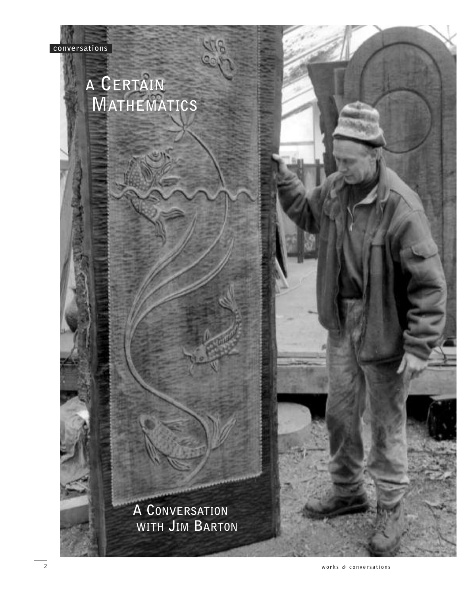# **A CERTAIN MATHEMATICS**

**A CONVERSATION WITH JIM BARTON**

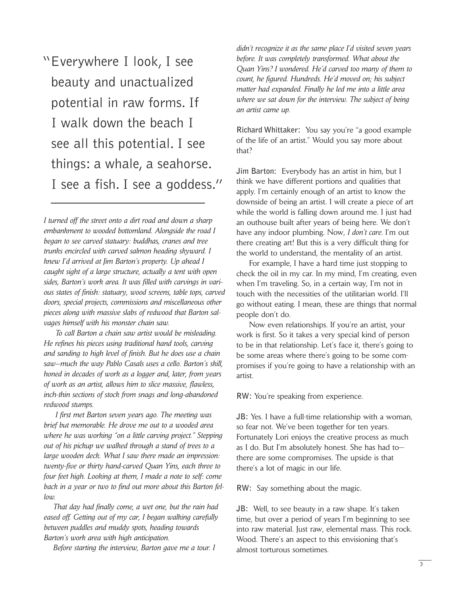"Everywhere I look, I see beauty and unactualized potential in raw forms. If I walk down the beach I see all this potential. I see things: a whale, a seahorse. I see a fish. I see a goddess."

*I turned off the street onto a dirt road and down a sharp embankment to wooded bottomland. Alongside the road I began to see carved statuary: buddhas, cranes and tree trunks encircled with carved salmon heading skyward. I knew I'd arrived at Jim Barton's property. Up ahead I caught sight of a large structure, actually a tent with open sides, Barton's work area. It was filled with carvings in various states of finish: statuary, wood screens, table tops, carved doors, special projects, commissions and miscellaneous other pieces along with massive slabs of redwood that Barton salvages himself with his monster chain saw.*

*To call Barton a chain saw artist would be misleading. He refines his pieces using traditional hand tools, carving and sanding to high level of finish. But he does use a chain saw—much the way Pablo Casals uses a cello. Barton's skill, honed in decades of work as a logger and, later, from years of work as an artist, allows him to slice massive, flawless, inch-thin sections of stock from snags and long-abandoned redwood stumps.*

*I first met Barton seven years ago. The meeting was brief but memorable. He drove me out to a wooded area where he was working "on a little carving project." Stepping out of his pickup we walked through a stand of trees to a large wooden deck. What I saw there made an impression: twenty-five or thirty hand-carved Quan Yins, each three to four feet high. Looking at them, I made a note to self: come back in a year or two to find out more about this Barton fellow.*

*That day had finally come, a wet one, but the rain had eased off. Getting out of my car, I began walking carefully between puddles and muddy spots, heading towards Barton's work area with high anticipation.*

*Before starting the interview, Barton gave me a tour. I*

*didn't recognize it as the same place I'd visited seven years before. It was completely transformed. What about the Quan Yins? I wondered. He'd carved too many of them to count, he figured. Hundreds. He'd moved on; his subject matter had expanded. Finally he led me into a little area where we sat down for the interview. The subject of being an artist came up.*

**Richard Whittaker:** You say you're "a good example of the life of an artist." Would you say more about that?

**Jim Barton:** Everybody has an artist in him, but I think we have different portions and qualities that apply. I'm certainly enough of an artist to know the downside of being an artist. I will create a piece of art while the world is falling down around me. I just had an outhouse built after years of being here. We don't have any indoor plumbing. Now, *I don't care*. I'm out there creating art! But this is a very difficult thing for the world to understand, the mentality of an artist.

For example, I have a hard time just stopping to check the oil in my car. In my mind, I'm creating, even when I'm traveling. So, in a certain way, I'm not in touch with the necessities of the utilitarian world. I'll go without eating. I mean, these are things that normal people don't do.

Now even relationships. If you're an artist, your work is first. So it takes a very special kind of person to be in that relationship. Let's face it, there's going to be some areas where there's going to be some compromises if you're going to have a relationship with an artist.

**RW:** You're speaking from experience.

**JB:** Yes. I have a full-time relationship with a woman, so fear not. We've been together for ten years. Fortunately Lori enjoys the creative process as much as I do. But I'm absolutely honest. She has had to there are some compromises. The upside is that there's a lot of magic in our life.

**RW:** Say something about the magic.

**JB:** Well, to see beauty in a raw shape. It's taken time, but over a period of years I'm beginning to see into raw material. Just raw, elemental mass. This rock. Wood. There's an aspect to this envisioning that's almost torturous sometimes.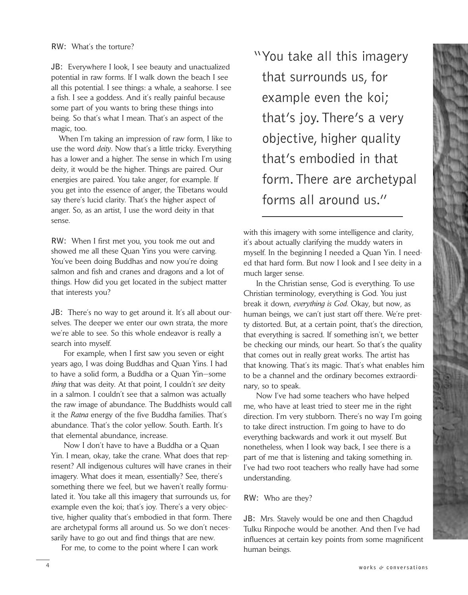**JB:** Everywhere I look, I see beauty and unactualized potential in raw forms. If I walk down the beach I see all this potential. I see things: a whale, a seahorse. I see a fish. I see a goddess. And it's really painful because some part of you wants to bring these things into being. So that's what I mean. That's an aspect of the magic, too.

When I'm taking an impression of raw form, I like to use the word *deity*. Now that's a little tricky. Everything has a lower and a higher. The sense in which I'm using deity, it would be the higher. Things are paired. Our energies are paired. You take anger, for example. If you get into the essence of anger, the Tibetans would say there's lucid clarity. That's the higher aspect of anger. So, as an artist, I use the word deity in that sense.

**RW:** When I first met you, you took me out and showed me all these Quan Yins you were carving. You've been doing Buddhas and now you're doing salmon and fish and cranes and dragons and a lot of things. How did you get located in the subject matter that interests you?

**JB:** There's no way to get around it. It's all about ourselves. The deeper we enter our own strata, the more we're able to see. So this whole endeavor is really a search into myself.

For example, when I first saw you seven or eight years ago, I was doing Buddhas and Quan Yins. I had to have a solid form, a Buddha or a Quan Yin—some *thing* that was deity. At that point, I couldn't *see* deity in a salmon. I couldn't see that a salmon was actually the raw image of abundance. The Buddhists would call it the *Ratna* energy of the five Buddha families. That's abundance. That's the color yellow. South. Earth. It's that elemental abundance, increase.

Now I don't have to have a Buddha or a Quan Yin. I mean, okay, take the crane. What does that represent? All indigenous cultures will have cranes in their imagery. What does it mean, essentially? See, there's something there we feel, but we haven't really formulated it. You take all this imagery that surrounds us, for example even the koi; that's joy. There's a very objective, higher quality that's embodied in that form. There are archetypal forms all around us. So we don't necessarily have to go out and find things that are new.

For me, to come to the point where I can work

"You take all this imagery that surrounds us, for example even the koi; that's joy.There's a very objective, higher quality that's embodied in that form.There are archetypal forms all around us."

with this imagery with some intelligence and clarity, it's about actually clarifying the muddy waters in myself. In the beginning I needed a Quan Yin. I needed that hard form. But now I look and I see deity in a much larger sense.

In the Christian sense, God is everything. To use Christian terminology, everything is God. You just break it down, *everything is God*. Okay, but now, as human beings, we can't just start off there. We're pretty distorted. But, at a certain point, that's the direction, that everything is sacred. If something isn't, we better be checking our minds, our heart. So that's the quality that comes out in really great works. The artist has that knowing. That's its magic. That's what enables him to be a channel and the ordinary becomes extraordinary, so to speak.

Now I've had some teachers who have helped me, who have at least tried to steer me in the right direction. I'm very stubborn. There's no way I'm going to take direct instruction. I'm going to have to do everything backwards and work it out myself. But nonetheless, when I look way back, I see there is a part of me that is listening and taking something in. I've had two root teachers who really have had some understanding.

#### **RW:** Who are they?

**JB:** Mrs. Stavely would be one and then Chagdud Tulku Rinpoche would be another. And then I've had influences at certain key points from some magnificent human beings.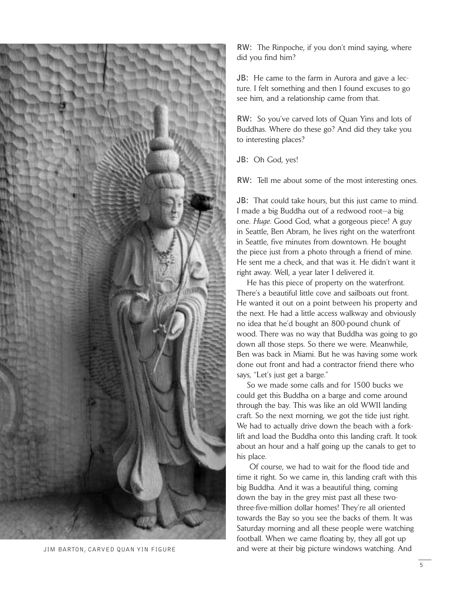

**RW:** The Rinpoche, if you don't mind saying, where did you find him?

**JB:** He came to the farm in Aurora and gave a lecture. I felt something and then I found excuses to go see him, and a relationship came from that.

**RW:** So you've carved lots of Quan Yins and lots of Buddhas. Where do these go? And did they take you to interesting places?

**JB:** Oh God, yes!

**RW:** Tell me about some of the most interesting ones.

**JB:** That could take hours, but this just came to mind. I made a big Buddha out of a redwood root—a big one. *Huge*. Good God, what a gorgeous piece! A guy in Seattle, Ben Abram, he lives right on the waterfront in Seattle, five minutes from downtown. He bought the piece just from a photo through a friend of mine. He sent me a check, and that was it. He didn't want it right away. Well, a year later I delivered it.

He has this piece of property on the waterfront. There's a beautiful little cove and sailboats out front. He wanted it out on a point between his property and the next. He had a little access walkway and obviously no idea that he'd bought an 800-pound chunk of wood. There was no way that Buddha was going to go down all those steps. So there we were. Meanwhile, Ben was back in Miami. But he was having some work done out front and had a contractor friend there who says, "Let's just get a barge."

So we made some calls and for 1500 bucks we could get this Buddha on a barge and come around through the bay. This was like an old WWII landing craft. So the next morning, we got the tide just right. We had to actually drive down the beach with a forklift and load the Buddha onto this landing craft. It took about an hour and a half going up the canals to get to his place.

Of course, we had to wait for the flood tide and time it right. So we came in, this landing craft with this big Buddha. And it was a beautiful thing, coming down the bay in the grey mist past all these twothree-five-million dollar homes! They're all oriented towards the Bay so you see the backs of them. It was Saturday morning and all these people were watching football. When we came floating by, they all got up JIM BARTON, CARVED QUAN YIN FIGURE and were at their big picture windows watching. And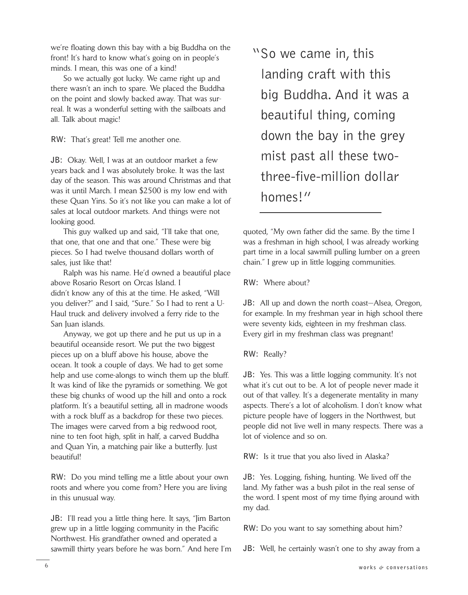we're floating down this bay with a big Buddha on the front! It's hard to know what's going on in people's minds. I mean, this was one of a kind!

So we actually got lucky. We came right up and there wasn't an inch to spare. We placed the Buddha on the point and slowly backed away. That was surreal. It was a wonderful setting with the sailboats and all. Talk about magic!

**RW:** That's great! Tell me another one.

**JB:** Okay. Well, I was at an outdoor market a few years back and I was absolutely broke. It was the last day of the season. This was around Christmas and that was it until March. I mean \$2500 is my low end with these Quan Yins. So it's not like you can make a lot of sales at local outdoor markets. And things were not looking good.

This guy walked up and said, "I'll take that one, that one, that one and that one." These were big pieces. So I had twelve thousand dollars worth of sales, just like that!

Ralph was his name. He'd owned a beautiful place above Rosario Resort on Orcas Island. I didn't know any of this at the time. He asked, "Will you deliver?" and I said, "Sure." So I had to rent a U-Haul truck and delivery involved a ferry ride to the San Juan islands.

Anyway, we got up there and he put us up in a beautiful oceanside resort. We put the two biggest pieces up on a bluff above his house, above the ocean. It took a couple of days. We had to get some help and use come-alongs to winch them up the bluff. It was kind of like the pyramids or something. We got these big chunks of wood up the hill and onto a rock platform. It's a beautiful setting, all in madrone woods with a rock bluff as a backdrop for these two pieces. The images were carved from a big redwood root, nine to ten foot high, split in half, a carved Buddha and Quan Yin, a matching pair like a butterfly. Just beautiful!

**RW:** Do you mind telling me a little about your own roots and where you come from? Here you are living in this unusual way.

**JB:** I'll read you a little thing here. It says, "Jim Barton grew up in a little logging community in the Pacific Northwest. His grandfather owned and operated a sawmill thirty years before he was born." And here I'm "So we came in, this landing craft with this big Buddha. And it was a beautiful thing, coming down the bay in the grey mist past all these twothree-five-million dollar homes!"

quoted, "My own father did the same. By the time I was a freshman in high school, I was already working part time in a local sawmill pulling lumber on a green chain." I grew up in little logging communities.

**RW:** Where about?

**JB:** All up and down the north coast—Alsea, Oregon, for example. In my freshman year in high school there were seventy kids, eighteen in my freshman class. Every girl in my freshman class was pregnant!

**RW:** Really?

**JB:** Yes. This was a little logging community. It's not what it's cut out to be. A lot of people never made it out of that valley. It's a degenerate mentality in many aspects. There's a lot of alcoholism. I don't know what picture people have of loggers in the Northwest, but people did not live well in many respects. There was a lot of violence and so on.

**RW:** Is it true that you also lived in Alaska?

**JB:** Yes. Logging, fishing, hunting. We lived off the land. My father was a bush pilot in the real sense of the word. I spent most of my time flying around with my dad.

**RW:** Do you want to say something about him?

**JB:** Well, he certainly wasn't one to shy away from a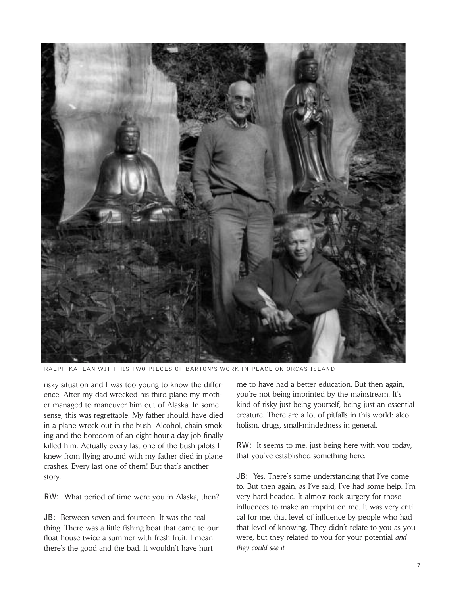

RALPH KAPLAN WITH HIS TWO PIECES OF BARTON'S WORK IN PLACE ON ORCAS ISLAND

risky situation and I was too young to know the difference. After my dad wrecked his third plane my mother managed to maneuver him out of Alaska. In some sense, this was regrettable. My father should have died in a plane wreck out in the bush. Alcohol, chain smoking and the boredom of an eight-hour-a-day job finally killed him. Actually every last one of the bush pilots I knew from flying around with my father died in plane crashes. Every last one of them! But that's another story.

**RW:** What period of time were you in Alaska, then?

**JB:** Between seven and fourteen. It was the real thing. There was a little fishing boat that came to our float house twice a summer with fresh fruit. I mean there's the good and the bad. It wouldn't have hurt

me to have had a better education. But then again, you're not being imprinted by the mainstream. It's kind of risky just being yourself, being just an essential creature. There are a lot of pitfalls in this world: alcoholism, drugs, small-mindedness in general.

**RW:** It seems to me, just being here with you today, that you've established something here.

**JB:** Yes. There's some understanding that I've come to. But then again, as I've said, I've had some help. I'm very hard-headed. It almost took surgery for those influences to make an imprint on me. It was very critical for me, that level of influence by people who had that level of knowing. They didn't relate to you as you were, but they related to you for your potential *and they could see it*.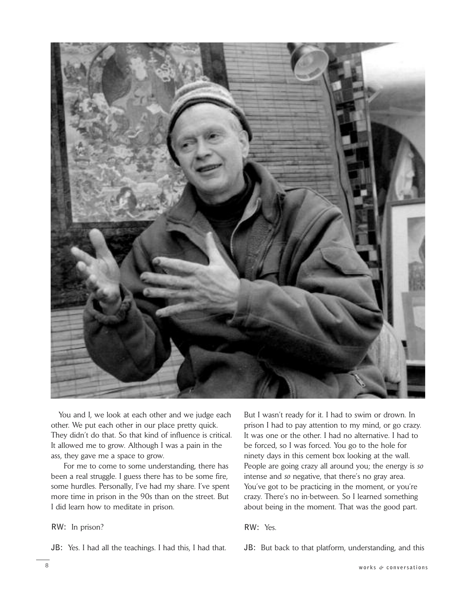

You and I, we look at each other and we judge each other. We put each other in our place pretty quick. They didn't do that. So that kind of influence is critical. It allowed me to grow. Although I was a pain in the ass, they gave me a space to grow.

For me to come to some understanding, there has been a real struggle. I guess there has to be some fire, some hurdles. Personally, I've had my share. I've spent more time in prison in the 90s than on the street. But I did learn how to meditate in prison.

# **RW:** In prison?

**JB:** Yes. I had all the teachings. I had this, I had that.

But I wasn't ready for it. I had to swim or drown. In prison I had to pay attention to my mind, or go crazy. It was one or the other. I had no alternative. I had to be forced, so I was forced. You go to the hole for ninety days in this cement box looking at the wall. People are going crazy all around you; the energy is *so* intense and *so* negative, that there's no gray area. You've got to be practicing in the moment, or you're crazy. There's no in-between. So I learned something about being in the moment. That was the good part.

**RW:** Yes.

**JB:** But back to that platform, understanding, and this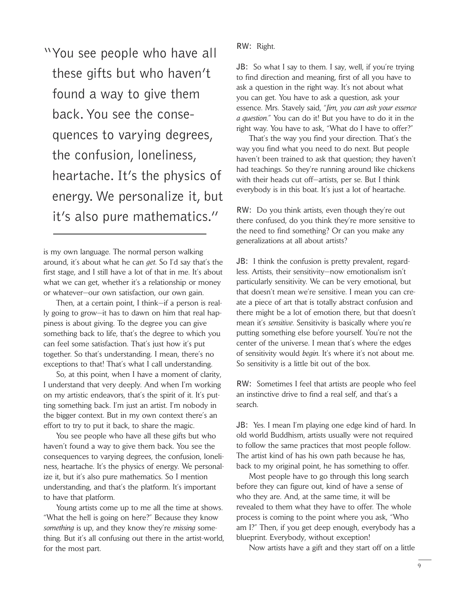"You see people who have all these gifts but who haven't found a way to give them back.You see the consequences to varying degrees, the confusion, loneliness, heartache. It's the physics of energy. We personalize it, but it's also pure mathematics."

is my own language. The normal person walking around, it's about what he can *get*. So I'd say that's the first stage, and I still have a lot of that in me. It's about what we can get, whether it's a relationship or money or whatever—our own satisfaction, our own gain.

Then, at a certain point, I think—if a person is really going to grow—it has to dawn on him that real happiness is about giving. To the degree you can give something back to life, that's the degree to which you can feel some satisfaction. That's just how it's put together. So that's understanding. I mean, there's no exceptions to that! That's what I call understanding.

So, at this point, when I have a moment of clarity, I understand that very deeply. And when I'm working on my artistic endeavors, that's the spirit of it. It's putting something back. I'm just an artist. I'm nobody in the bigger context. But in my own context there's an effort to try to put it back, to share the magic.

You see people who have all these gifts but who haven't found a way to give them back. You see the consequences to varying degrees, the confusion, loneliness, heartache. It's the physics of energy. We personalize it, but it's also pure mathematics. So I mention understanding, and that's the platform. It's important to have that platform.

Young artists come up to me all the time at shows. "What the hell is going on here?" Because they know *something* is up, and they know they're *missing* something. But it's all confusing out there in the artist-world, for the most part.

**RW:** Right.

**JB:** So what I say to them. I say, well, if you're trying to find direction and meaning, first of all you have to ask a question in the right way. It's not about what you can get. You have to ask a question, ask your essence. Mrs. Stavely said, "*Jim, you can ask your essence a question*." You can do it! But you have to do it in the right way. You have to ask, "What do I have to offer?"

That's the way you find your direction. That's the way you find what you need to do next. But people haven't been trained to ask that question; they haven't had teachings. So they're running around like chickens with their heads cut off—artists, per se. But I think everybody is in this boat. It's just a lot of heartache.

**RW:** Do you think artists, even though they're out there confused, do you think they're more sensitive to the need to find something? Or can you make any generalizations at all about artists?

**JB:** I think the confusion is pretty prevalent, regardless. Artists, their sensitivity—now emotionalism isn't particularly sensitivity. We can be very emotional, but that doesn't mean we're sensitive. I mean you can create a piece of art that is totally abstract confusion and there might be a lot of emotion there, but that doesn't mean it's *sensitive*. Sensitivity is basically where you're putting something else before yourself. You're not the center of the universe. I mean that's where the edges of sensitivity would *begin*. It's where it's not about me. So sensitivity is a little bit out of the box.

**RW:** Sometimes I feel that artists are people who feel an instinctive drive to find a real self, and that's a search.

**JB:** Yes. I mean I'm playing one edge kind of hard. In old world Buddhism, artists usually were not required to follow the same practices that most people follow. The artist kind of has his own path because he has, back to my original point, he has something to offer.

Most people have to go through this long search before they can figure out, kind of have a sense of who they are. And, at the same time, it will be revealed to them what they have to offer. The whole process is coming to the point where you ask, "Who am I?" Then, if you get deep enough, everybody has a blueprint. Everybody, without exception!

Now artists have a gift and they start off on a little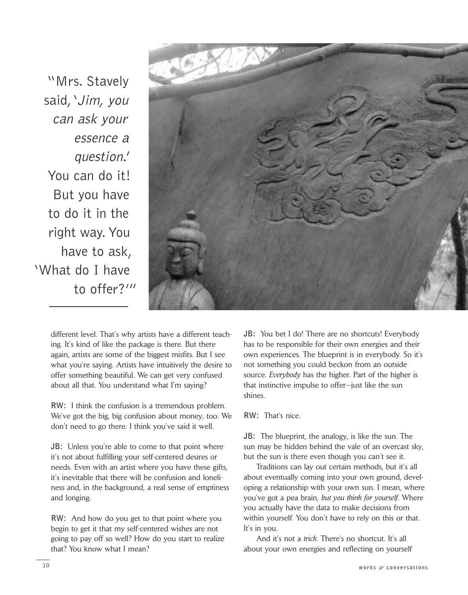"Mrs. Stavely said, 'Jim, you can ask your essence a question.' You can do it! But you have to do it in the right way.You have to ask, 'What do I have to offer?'"



different level. That's why artists have a different teaching. It's kind of like the package is there. But there again, artists are some of the biggest misfits. But I see what you're saying. Artists have intuitively the desire to offer something beautiful. We can get very confused about all that. You understand what I'm saying?

**RW:** I think the confusion is a tremendous problem. We've got the big, big confusion about money, too. We don't need to go there. I think you've said it well.

**JB:** Unless you're able to come to that point where it's not about fulfilling your self-centered desires or needs. Even with an artist where you have these gifts, it's inevitable that there will be confusion and loneliness and, in the background, a real sense of emptiness and longing.

**RW:** And how do you get to that point where you begin to get it that my self-centered wishes are not going to pay off so well? How do you start to realize that? You know what I mean?

**JB:** You bet I do! There are no shortcuts! Everybody has to be responsible for their own energies and their own experiences. The blueprint is in everybody. So it's not something you could beckon from an outside source. *Everybody* has the higher. Part of the higher is that instinctive impulse to offer—just like the sun shines.

**RW:** That's nice.

**JB:** The blueprint, the analogy, is like the sun. The sun may be hidden behind the vale of an overcast sky, but the sun is there even though you can't see it.

Traditions can lay out certain methods, but it's all about eventually coming into your own ground, developing a relationship with your own sun. I mean, where you've got a pea brain, *but you think for yourself*. Where you actually have the data to make decisions from within yourself. You don't have to rely on this or that. It's in you.

And it's not a *trick*. There's no shortcut. It's all about your own energies and reflecting on yourself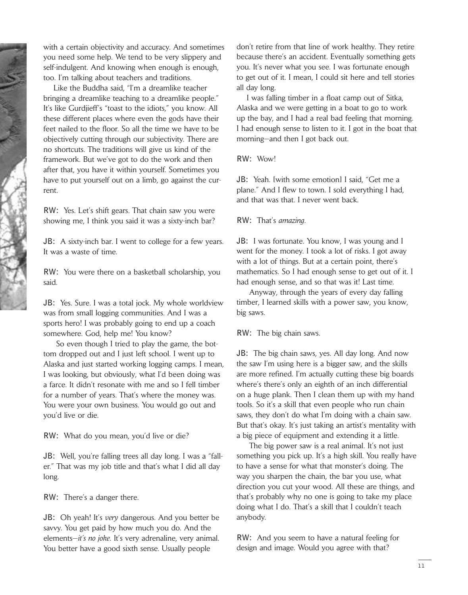with a certain objectivity and accuracy. And sometimes you need some help. We tend to be very slippery and self-indulgent. And knowing when enough is enough, too. I'm talking about teachers and traditions.

Like the Buddha said, "I'm a dreamlike teacher bringing a dreamlike teaching to a dreamlike people." It's like Gurdjieff's "toast to the idiots," you know. All these different places where even the gods have their feet nailed to the floor. So all the time we have to be objectively cutting through our subjectivity. There are no shortcuts. The traditions will give us kind of the framework. But we've got to do the work and then after that, you have it within yourself. Sometimes you have to put yourself out on a limb, go against the current.

**RW:** Yes. Let's shift gears. That chain saw you were showing me, I think you said it was a sixty-inch bar?

**JB:** A sixty-inch bar. I went to college for a few years. It was a waste of time.

**RW:** You were there on a basketball scholarship, you said.

**JB:** Yes. Sure. I was a total jock. My whole worldview was from small logging communities. And I was a sports hero! I was probably going to end up a coach somewhere. God, help me! You know?

So even though I tried to play the game, the bottom dropped out and I just left school. I went up to Alaska and just started working logging camps. I mean, I was looking, but obviously, what I'd been doing was a farce. It didn't resonate with me and so I fell timber for a number of years. That's where the money was. You were your own business. You would go out and you'd live or die.

**RW:** What do you mean, you'd live or die?

**JB:** Well, you're falling trees all day long. I was a "faller." That was my job title and that's what I did all day long.

**RW:** There's a danger there.

**JB:** Oh yeah! It's *very* dangerous. And you better be savvy. You get paid by how much you do. And the elements—*it's no joke*. It's very adrenaline, very animal. You better have a good sixth sense. Usually people

don't retire from that line of work healthy. They retire because there's an accident. Eventually something gets you. It's never what you see. I was fortunate enough to get out of it. I mean, I could sit here and tell stories all day long.

I was falling timber in a float camp out of Sitka, Alaska and we were getting in a boat to go to work up the bay, and I had a real bad feeling that morning. I had enough sense to listen to it. I got in the boat that morning—and then I got back out.

**RW:** Wow!

**JB:** Yeah. [with some emotion] I said, "Get me a plane." And I flew to town. I sold everything I had, and that was that. I never went back.

## **RW:** That's *amazing*.

**JB:** I was fortunate. You know, I was young and I went for the money. I took a lot of risks. I got away with a lot of things. But at a certain point, there's mathematics. So I had enough sense to get out of it. I had enough sense, and so that was it! Last time.

Anyway, through the years of every day falling timber, I learned skills with a power saw, you know, big saws.

**RW:** The big chain saws.

**JB:** The big chain saws, yes. All day long. And now the saw I'm using here is a bigger saw, and the skills are more refined. I'm actually cutting these big boards where's there's only an eighth of an inch differential on a huge plank. Then I clean them up with my hand tools. So it's a skill that even people who run chain saws, they don't do what I'm doing with a chain saw. But that's okay. It's just taking an artist's mentality with a big piece of equipment and extending it a little.

The big power saw is a real animal. It's not just something you pick up. It's a high skill. You really have to have a sense for what that monster's doing. The way you sharpen the chain, the bar you use, what direction you cut your wood. All these are things, and that's probably why no one is going to take my place doing what I do. That's a skill that I couldn't teach anybody.

**RW:** And you seem to have a natural feeling for design and image. Would you agree with that?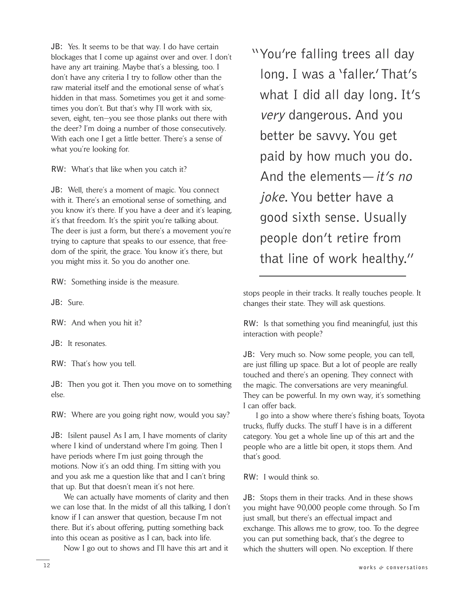**JB:** Yes. It seems to be that way. I do have certain blockages that I come up against over and over. I don't have any art training. Maybe that's a blessing, too. I don't have any criteria I try to follow other than the raw material itself and the emotional sense of what's hidden in that mass. Sometimes you get it and sometimes you don't. But that's why I'll work with six, seven, eight, ten—you see those planks out there with the deer? I'm doing a number of those consecutively. With each one I get a little better. There's a sense of what you're looking for.

**RW:** What's that like when you catch it?

**JB:** Well, there's a moment of magic. You connect with it. There's an emotional sense of something, and you know it's there. If you have a deer and it's leaping, it's that freedom. It's the spirit you're talking about. The deer is just a form, but there's a movement you're trying to capture that speaks to our essence, that freedom of the spirit, the grace. You know it's there, but you might miss it. So you do another one.

**RW:** Something inside is the measure.

**JB:** Sure.

**RW:** And when you hit it?

**JB:** It resonates.

**RW:** That's how you tell.

**JB:** Then you got it. Then you move on to something else.

**RW:** Where are you going right now, would you say?

**JB:** [silent pause] As I am, I have moments of clarity where I kind of understand where I'm going. Then I have periods where I'm just going through the motions. Now it's an odd thing. I'm sitting with you and you ask me a question like that and I can't bring that up. But that doesn't mean it's not here.

We can actually have moments of clarity and then we can lose that. In the midst of all this talking, I don't know if I can answer that question, because I'm not there. But it's about offering, putting something back into this ocean as positive as I can, back into life.

Now I go out to shows and I'll have this art and it

"You're falling trees all day long. I was a 'faller.'That's what I did all day long. It's very dangerous. And you better be savvy.You get paid by how much you do. And the elements—it's no joke. You better have a good sixth sense. Usually people don't retire from that line of work healthy."

stops people in their tracks. It really touches people. It changes their state. They will ask questions.

**RW:** Is that something you find meaningful, just this interaction with people?

**JB:** Very much so. Now some people, you can tell, are just filling up space. But a lot of people are really touched and there's an opening. They connect with the magic. The conversations are very meaningful. They can be powerful. In my own way, it's something I can offer back.

I go into a show where there's fishing boats, Toyota trucks, fluffy ducks. The stuff I have is in a different category. You get a whole line up of this art and the people who are a little bit open, it stops them. And that's good.

**RW:** I would think so.

**JB:** Stops them in their tracks. And in these shows you might have 90,000 people come through. So I'm just small, but there's an effectual impact and exchange. This allows me to grow, too. To the degree you can put something back, that's the degree to which the shutters will open. No exception. If there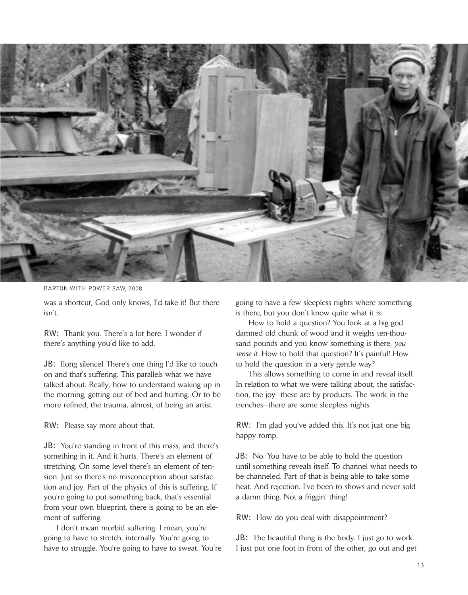

BARTON WITH POWER SAW, 2008

was a shortcut, God only knows, I'd take it! But there isn't.

**RW:** Thank you. There's a lot here. I wonder if there's anything you'd like to add.

**JB:** [long silence] There's one thing I'd like to touch on and that's suffering. This parallels what we have talked about. Really, how to understand waking up in the morning, getting out of bed and hurting. Or to be more refined, the trauma, almost, of being an artist.

**RW:** Please say more about that.

**JB:** You're standing in front of this mass, and there's something in it. And it hurts. There's an element of stretching. On some level there's an element of tension. Just so there's no misconception about satisfaction and joy. Part of the physics of this is suffering. If you're going to put something back, that's essential from your own blueprint, there is going to be an element of suffering.

I don't mean morbid suffering. I mean, you're going to have to stretch, internally. You're going to have to struggle. You're going to have to sweat. You're going to have a few sleepless nights where something is there, but you don't know quite what it is.

How to hold a question? You look at a big goddamned old chunk of wood and it weighs ten-thousand pounds and you know something is there, *you sense it*. How to hold that question? It's painful! How to hold the question in a very gentle way?

This allows something to come in and reveal itself. In relation to what we were talking about, the satisfaction, the joy—these are by-products. The work in the trenches—there are some sleepless nights.

**RW:** I'm glad you've added this. It's not just one big happy romp.

**JB:** No. You have to be able to hold the question until something reveals itself. To channel what needs to be channeled. Part of that is being able to take some heat. And rejection. I've been to shows and never sold a damn thing. Not a friggin' thing!

**RW:** How do you deal with disappointment?

**JB:** The beautiful thing is the body. I just go to work. I just put one foot in front of the other, go out and get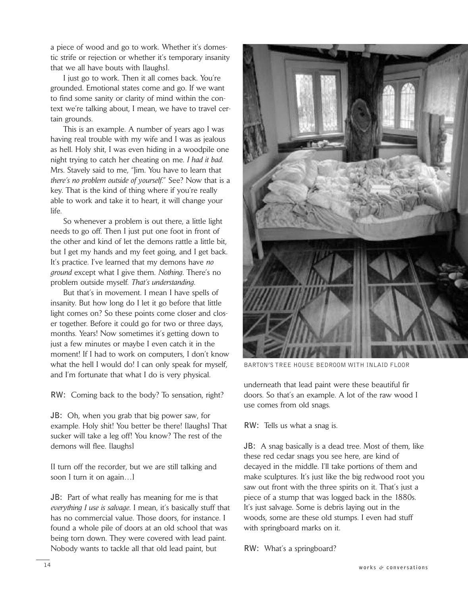a piece of wood and go to work. Whether it's domestic strife or rejection or whether it's temporary insanity that we all have bouts with [laughs].

I just go to work. Then it all comes back. You're grounded. Emotional states come and go. If we want to find some sanity or clarity of mind within the context we're talking about, I mean, we have to travel certain grounds.

This is an example. A number of years ago I was having real trouble with my wife and I was as jealous as hell. Holy shit, I was even hiding in a woodpile one night trying to catch her cheating on me. *I had it bad*. Mrs. Stavely said to me, "Jim. You have to learn that *there's no problem outside of yourself*." See? Now that is a key. That is the kind of thing where if you're really able to work and take it to heart, it will change your life.

So whenever a problem is out there, a little light needs to go off. Then I just put one foot in front of the other and kind of let the demons rattle a little bit, but I get my hands and my feet going, and I get back. It's practice. I've learned that my demons have *no ground* except what I give them. *Nothing*. There's no problem outside myself. *That's understanding*.

But that's in movement. I mean I have spells of insanity. But how long do I let it go before that little light comes on? So these points come closer and closer together. Before it could go for two or three days, months. Years! Now sometimes it's getting down to just a few minutes or maybe I even catch it in the moment! If I had to work on computers, I don't know what the hell I would do! I can only speak for myself, and I'm fortunate that what I do is very physical.

**RW:** Coming back to the body? To sensation, right?

**JB:** Oh, when you grab that big power saw, for example. Holy shit! You better be there! [laughs] That sucker will take a leg off! You know? The rest of the demons will flee. [laughs]

[I turn off the recorder, but we are still talking and soon I turn it on again…]

**JB:** Part of what really has meaning for me is that *everything I use is salvage*. I mean, it's basically stuff that has no commercial value. Those doors, for instance. I found a whole pile of doors at an old school that was being torn down. They were covered with lead paint. Nobody wants to tackle all that old lead paint, but



BARTON'S TREE HOUSE BEDROOM WITH INLAID FLOOR

underneath that lead paint were these beautiful fir doors. So that's an example. A lot of the raw wood I use comes from old snags.

**RW:** Tells us what a snag is.

**JB:** A snag basically is a dead tree. Most of them, like these red cedar snags you see here, are kind of decayed in the middle. I'll take portions of them and make sculptures. It's just like the big redwood root you saw out front with the three spirits on it. That's just a piece of a stump that was logged back in the 1880s. It's just salvage. Some is debris laying out in the woods, some are these old stumps. I even had stuff with springboard marks on it.

**RW:** What's a springboard?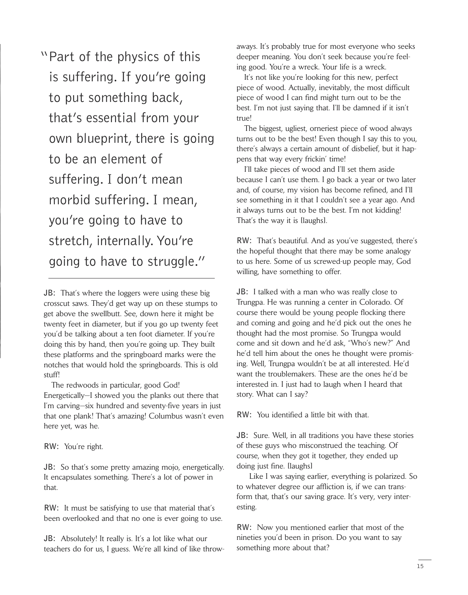"Part of the physics of this is suffering. If you're going to put something back, that's essential from your own blueprint, there is going to be an element of suffering. I don't mean morbid suffering. I mean, you're going to have to stretch, internally.You're going to have to struggle."

**JB:** That's where the loggers were using these big crosscut saws. They'd get way up on these stumps to get above the swellbutt. See, down here it might be twenty feet in diameter, but if you go up twenty feet you'd be talking about a ten foot diameter. If you're doing this by hand, then you're going up. They built these platforms and the springboard marks were the notches that would hold the springboards. This is old stuff!

The redwoods in particular, good God! Energetically—I showed you the planks out there that I'm carving—six hundred and seventy-five years in just that one plank! That's amazing! Columbus wasn't even here yet, was he.

**RW:** You're right.

**JB:** So that's some pretty amazing mojo, energetically. It encapsulates something. There's a lot of power in that.

**RW:** It must be satisfying to use that material that's been overlooked and that no one is ever going to use.

**JB:** Absolutely! It really is. It's a lot like what our teachers do for us, I guess. We're all kind of like throwaways. It's probably true for most everyone who seeks deeper meaning. You don't seek because you're feeling good. You're a wreck. Your life is a wreck.

It's not like you're looking for this new, perfect piece of wood. Actually, inevitably, the most difficult piece of wood I can find might turn out to be the best. I'm not just saying that. I'll be damned if it isn't true!

The biggest, ugliest, orneriest piece of wood always turns out to be the best! Even though I say this to you, there's always a certain amount of disbelief, but it happens that way every frickin' time!

I'll take pieces of wood and I'll set them aside because I can't use them. I go back a year or two later and, of course, my vision has become refined, and I'll see something in it that I couldn't see a year ago. And it always turns out to be the best. I'm not kidding! That's the way it is [laughs].

**RW:** That's beautiful. And as you've suggested, there's the hopeful thought that there may be some analogy to us here. Some of us screwed-up people may, God willing, have something to offer.

**JB:** I talked with a man who was really close to Trungpa. He was running a center in Colorado. Of course there would be young people flocking there and coming and going and he'd pick out the ones he thought had the most promise. So Trungpa would come and sit down and he'd ask, "Who's new?" And he'd tell him about the ones he thought were promising. Well, Trungpa wouldn't be at all interested. He'd want the troublemakers. These are the ones he'd be interested in. I just had to laugh when I heard that story. What can I say?

**RW:** You identified a little bit with that.

**JB:** Sure. Well, in all traditions you have these stories of these guys who misconstrued the teaching. Of course, when they got it together, they ended up doing just fine. [laughs]

Like I was saying earlier, everything is polarized. So to whatever degree our affliction is, if we can transform that, that's our saving grace. It's very, very interesting.

**RW:** Now you mentioned earlier that most of the nineties you'd been in prison. Do you want to say something more about that?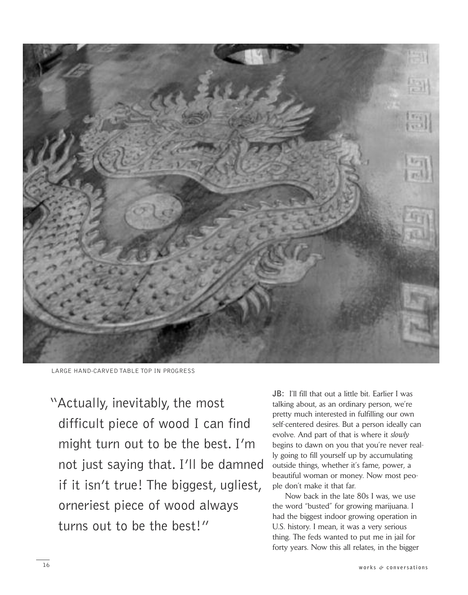

LARGE HAND-CARVED TABLE TOP IN PROGRESS

"Actually, inevitably, the most difficult piece of wood I can find might turn out to be the best. I'm not just saying that. I'll be damned if it isn't true! The biggest, ugliest, orneriest piece of wood always turns out to be the best!"

**JB:** I'll fill that out a little bit. Earlier I was talking about, as an ordinary person, we're pretty much interested in fulfilling our own self-centered desires. But a person ideally can evolve. And part of that is where it *slowly* begins to dawn on you that you're never really going to fill yourself up by accumulating outside things, whether it's fame, power, a beautiful woman or money. Now most people don't make it that far.

Now back in the late 80s I was, we use the word "busted" for growing marijuana. I had the biggest indoor growing operation in U.S. history. I mean, it was a very serious thing. The feds wanted to put me in jail for forty years. Now this all relates, in the bigger